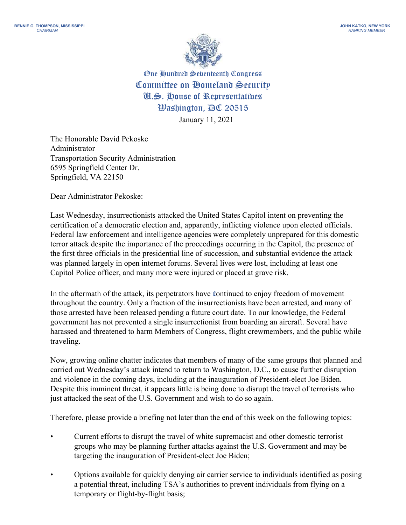

One Hundred Seventeenth Congress Committee on Homeland Security U.S. House of Representatives Washington, AC 20515

January 11, 2021

The Honorable David Pekoske Administrator Transportation Security Administration 6595 Springfield Center Dr. Springfield, VA 22150

Dear Administrator Pekoske:

Last Wednesday, insurrectionists attacked the United States Capitol intent on preventing the certification of a democratic election and, apparently, inflicting violence upon elected officials. Federal law enforcement and intelligence agencies were completely unprepared for this domestic terror attack despite the importance of the proceedings occurring in the Capitol, the presence of the first three officials in the presidential line of succession, and substantial evidence the attack was planned largely in open internet forums. Several lives were lost, including at least one Capitol Police officer, and many more were injured or placed at grave risk.

In the aftermath of the attack, its perpetrators have continued to enjoy freedom of movement throughout the country. Only a fraction of the insurrectionists have been arrested, and many of those arrested have been released pending a future court date. To our knowledge, the Federal government has not prevented a single insurrectionist from boarding an aircraft. Several have harassed and threatened to harm Members of Congress, flight crewmembers, and the public while traveling.

Now, growing online chatter indicates that members of many of the same groups that planned and carried out Wednesday's attack intend to return to Washington, D.C., to cause further disruption and violence in the coming days, including at the inauguration of President-elect Joe Biden. Despite this imminent threat, it appears little is being done to disrupt the travel of terrorists who just attacked the seat of the U.S. Government and wish to do so again.

Therefore, please provide a briefing not later than the end of this week on the following topics:

- Current efforts to disrupt the travel of white supremacist and other domestic terrorist groups who may be planning further attacks against the U.S. Government and may be targeting the inauguration of President-elect Joe Biden;
- Options available for quickly denying air carrier service to individuals identified as posing a potential threat, including TSA's authorities to prevent individuals from flying on a temporary or flight-by-flight basis;